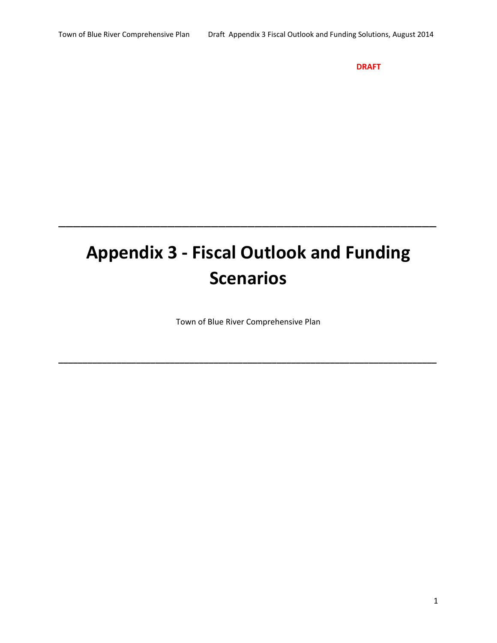**DRAFT**

# **Appendix 3 ‐ Fiscal Outlook and Funding Scenarios**

\_\_\_\_\_\_\_\_\_\_\_\_\_\_\_\_\_\_\_\_\_\_\_\_\_\_\_\_\_\_\_\_\_\_\_\_\_\_\_\_\_\_\_\_\_\_\_\_\_\_\_\_

Town of Blue River Comprehensive Plan

**\_\_\_\_\_\_\_\_\_\_\_\_\_\_\_\_\_\_\_\_\_\_\_\_\_\_\_\_\_\_\_\_\_\_\_\_\_\_\_\_\_\_\_\_\_\_\_\_\_\_\_\_\_\_\_\_\_\_\_\_\_\_\_\_\_\_\_\_\_\_\_\_\_\_\_\_\_\_**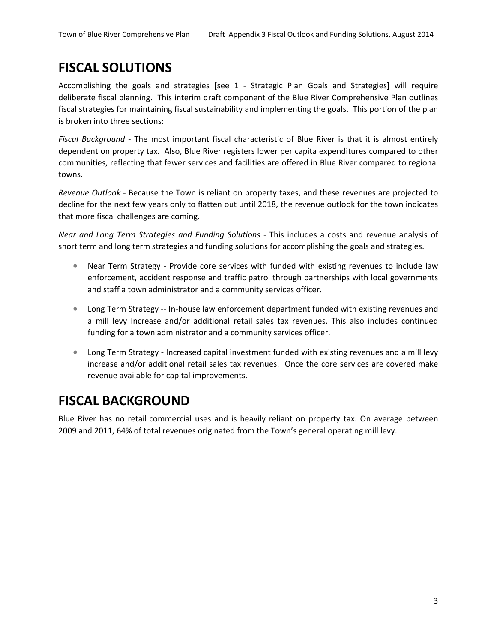## **FISCAL SOLUTIONS**

Accomplishing the goals and strategies [see 1 ‐ Strategic Plan Goals and Strategies] will require deliberate fiscal planning. This interim draft component of the Blue River Comprehensive Plan outlines fiscal strategies for maintaining fiscal sustainability and implementing the goals. This portion of the plan is broken into three sections:

*Fiscal Background ‐*  The most important fiscal characteristic of Blue River is that it is almost entirely dependent on property tax. Also, Blue River registers lower per capita expenditures compared to other communities, reflecting that fewer services and facilities are offered in Blue River compared to regional towns.

*Revenue Outlook ‐* Because the Town is reliant on property taxes, and these revenues are projected to decline for the next few years only to flatten out until 2018, the revenue outlook for the town indicates that more fiscal challenges are coming.

*Near and Long Term Strategies and Funding Solutions ‐*  This includes a costs and revenue analysis of short term and long term strategies and funding solutions for accomplishing the goals and strategies.

- Near Term Strategy Provide core services with funded with existing revenues to include law enforcement, accident response and traffic patrol through partnerships with local governments and staff a town administrator and a community services officer.
- Long Term Strategy -- In-house law enforcement department funded with existing revenues and a mill levy Increase and/or additional retail sales tax revenues. This also includes continued funding for a town administrator and a community services officer.
- Long Term Strategy Increased capital investment funded with existing revenues and a mill levy increase and/or additional retail sales tax revenues. Once the core services are covered make revenue available for capital improvements.

# **FISCAL BACKGROUND**

Blue River has no retail commercial uses and is heavily reliant on property tax. On average between 2009 and 2011, 64% of total revenues originated from the Town's general operating mill levy.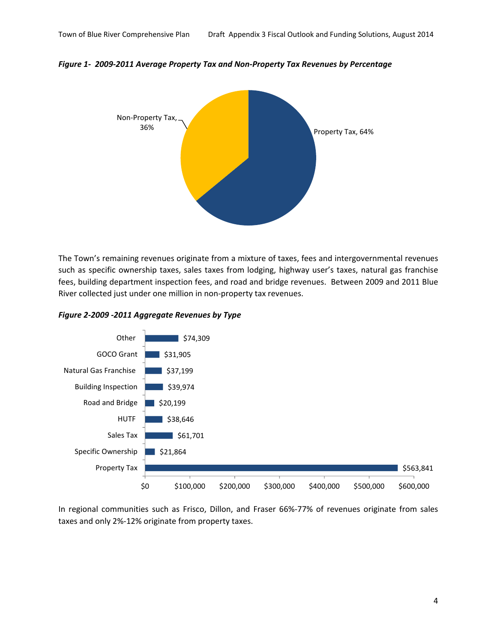*Figure 1‐ 2009‐2011 Average Property Tax and Non‐Property Tax Revenues by Percentage* 



The Town's remaining revenues originate from a mixture of taxes, fees and intergovernmental revenues such as specific ownership taxes, sales taxes from lodging, highway user's taxes, natural gas franchise fees, building department inspection fees, and road and bridge revenues. Between 2009 and 2011 Blue River collected just under one million in non‐property tax revenues.

*Figure 2‐2009 ‐2011 Aggregate Revenues by Type*



In regional communities such as Frisco, Dillon, and Fraser 66%‐77% of revenues originate from sales taxes and only 2%‐12% originate from property taxes.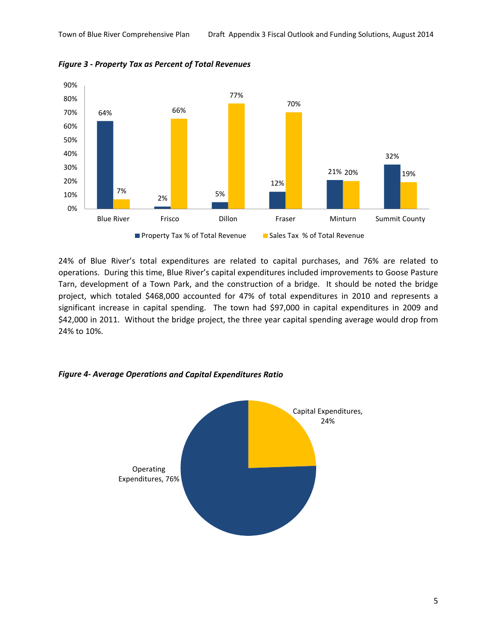

*Figure 3 ‐ Property Tax as Percent of Total Revenues*

24% of Blue River's total expenditures are related to capital purchases, and 76% are related to operations. During this time, Blue River's capital expenditures included improvements to Goose Pasture Tarn, development of a Town Park, and the construction of a bridge. It should be noted the bridge project, which totaled \$468,000 accounted for 47% of total expenditures in 2010 and represents a significant increase in capital spending. The town had \$97,000 in capital expenditures in 2009 and \$42,000 in 2011. Without the bridge project, the three year capital spending average would drop from 24% to 10%.



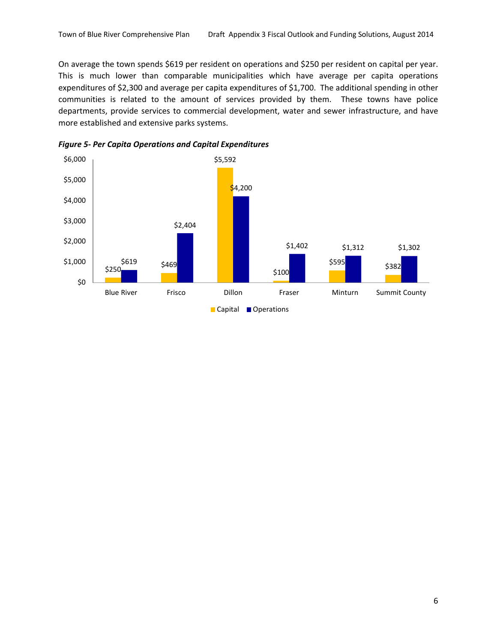On average the town spends \$619 per resident on operations and \$250 per resident on capital per year. This is much lower than comparable municipalities which have average per capita operations expenditures of \$2,300 and average per capita expenditures of \$1,700. The additional spending in other communities is related to the amount of services provided by them. These towns have police departments, provide services to commercial development, water and sewer infrastructure, and have more established and extensive parks systems.



*Figure 5‐ Per Capita Operations and Capital Expenditures*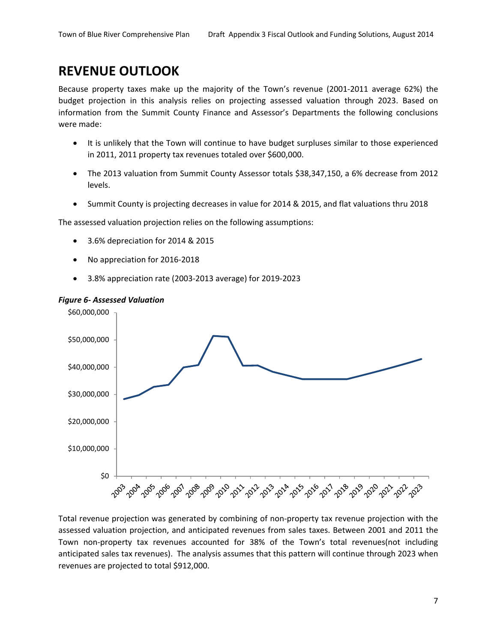# **REVENUE OUTLOOK**

Because property taxes make up the majority of the Town's revenue (2001‐2011 average 62%) the budget projection in this analysis relies on projecting assessed valuation through 2023. Based on information from the Summit County Finance and Assessor's Departments the following conclusions were made:

- It is unlikely that the Town will continue to have budget surpluses similar to those experienced in 2011, 2011 property tax revenues totaled over \$600,000.
- The 2013 valuation from Summit County Assessor totals \$38,347,150, a 6% decrease from 2012 levels.
- Summit County is projecting decreases in value for 2014 & 2015, and flat valuations thru 2018

The assessed valuation projection relies on the following assumptions:

- 3.6% depreciation for 2014 & 2015
- No appreciation for 2016‐2018
- 3.8% appreciation rate (2003‐2013 average) for 2019‐2023

### *Figure 6‐ Assessed Valuation*



Total revenue projection was generated by combining of non‐property tax revenue projection with the assessed valuation projection, and anticipated revenues from sales taxes. Between 2001 and 2011 the Town non‐property tax revenues accounted for 38% of the Town's total revenues(not including anticipated sales tax revenues). The analysis assumes that this pattern will continue through 2023 when revenues are projected to total \$912,000.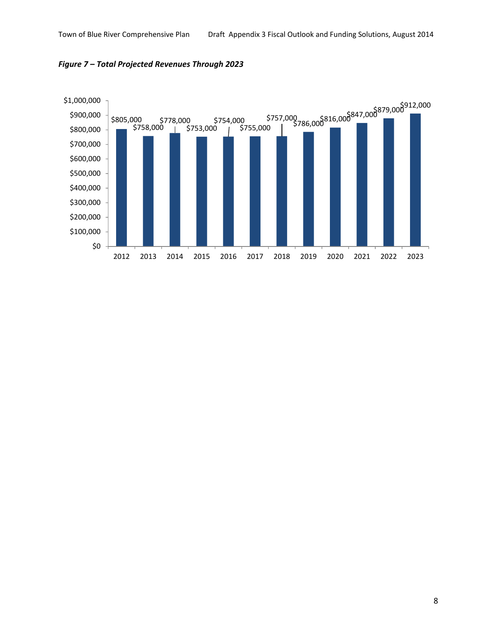

*Figure 7 – Total Projected Revenues Through 2023*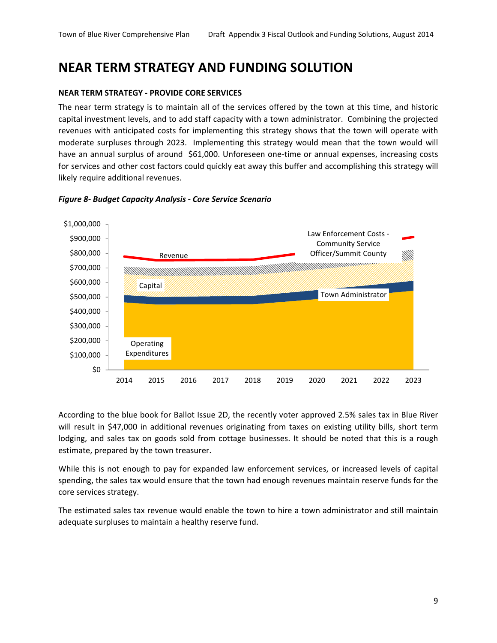### **NEAR TERM STRATEGY AND FUNDING SOLUTION**

### **NEAR TERM STRATEGY ‐ PROVIDE CORE SERVICES**

The near term strategy is to maintain all of the services offered by the town at this time, and historic capital investment levels, and to add staff capacity with a town administrator. Combining the projected revenues with anticipated costs for implementing this strategy shows that the town will operate with moderate surpluses through 2023. Implementing this strategy would mean that the town would will have an annual surplus of around \$61,000. Unforeseen one-time or annual expenses, increasing costs for services and other cost factors could quickly eat away this buffer and accomplishing this strategy will likely require additional revenues.



*Figure 8‐ Budget Capacity Analysis ‐ Core Service Scenario*

According to the blue book for Ballot Issue 2D, the recently voter approved 2.5% sales tax in Blue River will result in \$47,000 in additional revenues originating from taxes on existing utility bills, short term lodging, and sales tax on goods sold from cottage businesses. It should be noted that this is a rough estimate, prepared by the town treasurer.

While this is not enough to pay for expanded law enforcement services, or increased levels of capital spending, the sales tax would ensure that the town had enough revenues maintain reserve funds for the core services strategy.

The estimated sales tax revenue would enable the town to hire a town administrator and still maintain adequate surpluses to maintain a healthy reserve fund.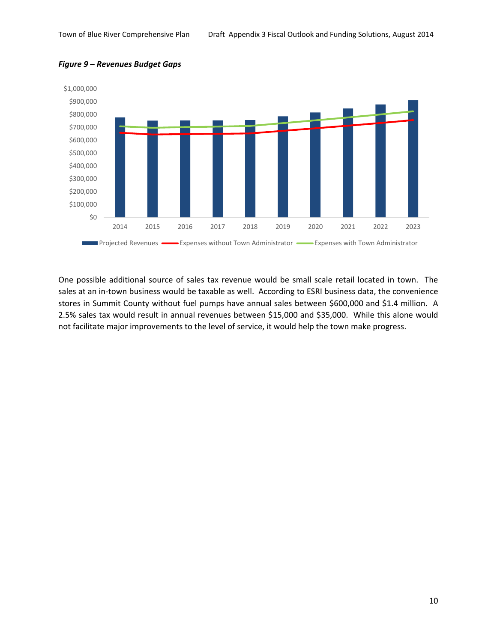

### *Figure 9 – Revenues Budget Gaps*

One possible additional source of sales tax revenue would be small scale retail located in town. The sales at an in-town business would be taxable as well. According to ESRI business data, the convenience stores in Summit County without fuel pumps have annual sales between \$600,000 and \$1.4 million. A 2.5% sales tax would result in annual revenues between \$15,000 and \$35,000. While this alone would not facilitate major improvements to the level of service, it would help the town make progress.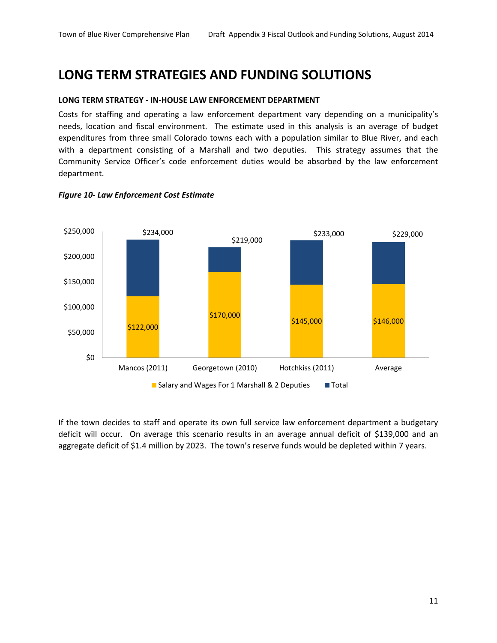### **LONG TERM STRATEGIES AND FUNDING SOLUTIONS**

### **LONG TERM STRATEGY ‐ IN‐HOUSE LAW ENFORCEMENT DEPARTMENT**

Costs for staffing and operating a law enforcement department vary depending on a municipality's needs, location and fiscal environment. The estimate used in this analysis is an average of budget expenditures from three small Colorado towns each with a population similar to Blue River, and each with a department consisting of a Marshall and two deputies. This strategy assumes that the Community Service Officer's code enforcement duties would be absorbed by the law enforcement department.



#### *Figure 10‐ Law Enforcement Cost Estimate*

If the town decides to staff and operate its own full service law enforcement department a budgetary deficit will occur. On average this scenario results in an average annual deficit of \$139,000 and an aggregate deficit of \$1.4 million by 2023. The town's reserve funds would be depleted within 7 years.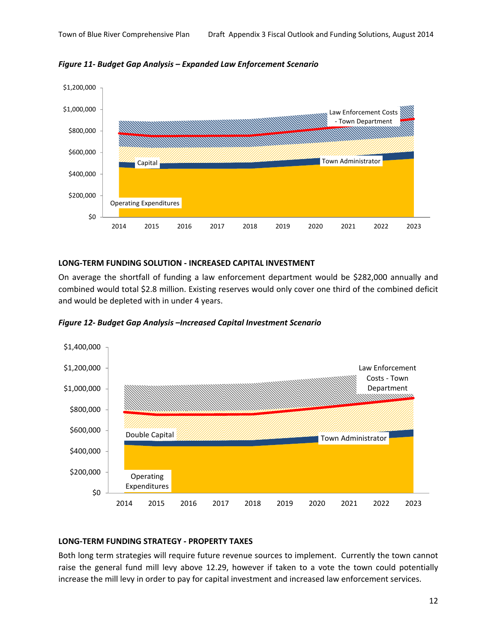



### **LONG‐TERM FUNDING SOLUTION ‐ INCREASED CAPITAL INVESTMENT**

On average the shortfall of funding a law enforcement department would be \$282,000 annually and combined would total \$2.8 million. Existing reserves would only cover one third of the combined deficit and would be depleted with in under 4 years.

![](_page_11_Figure_6.jpeg)

*Figure 12‐ Budget Gap Analysis –Increased Capital Investment Scenario*

### **LONG‐TERM FUNDING STRATEGY ‐ PROPERTY TAXES**

Both long term strategies will require future revenue sources to implement. Currently the town cannot raise the general fund mill levy above 12.29, however if taken to a vote the town could potentially increase the mill levy in order to pay for capital investment and increased law enforcement services.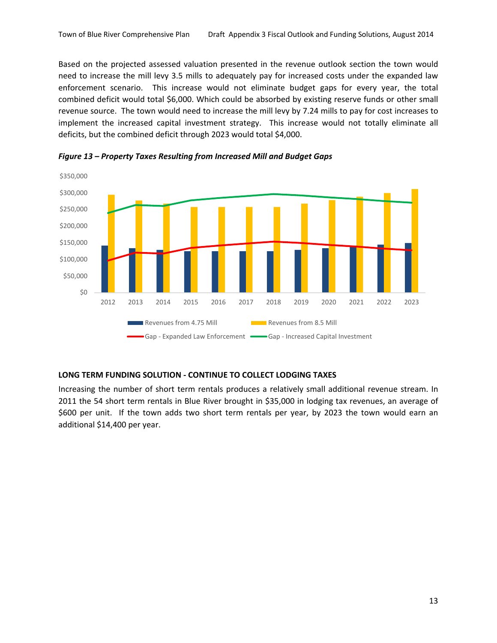Based on the projected assessed valuation presented in the revenue outlook section the town would need to increase the mill levy 3.5 mills to adequately pay for increased costs under the expanded law enforcement scenario. This increase would not eliminate budget gaps for every year, the total combined deficit would total \$6,000. Which could be absorbed by existing reserve funds or other small revenue source. The town would need to increase the mill levy by 7.24 mills to pay for cost increases to implement the increased capital investment strategy. This increase would not totally eliminate all deficits, but the combined deficit through 2023 would total \$4,000.

![](_page_12_Figure_2.jpeg)

*Figure 13 – Property Taxes Resulting from Increased Mill and Budget Gaps*

### **LONG TERM FUNDING SOLUTION ‐ CONTINUE TO COLLECT LODGING TAXES**

Increasing the number of short term rentals produces a relatively small additional revenue stream. In 2011 the 54 short term rentals in Blue River brought in \$35,000 in lodging tax revenues, an average of \$600 per unit. If the town adds two short term rentals per year, by 2023 the town would earn an additional \$14,400 per year.